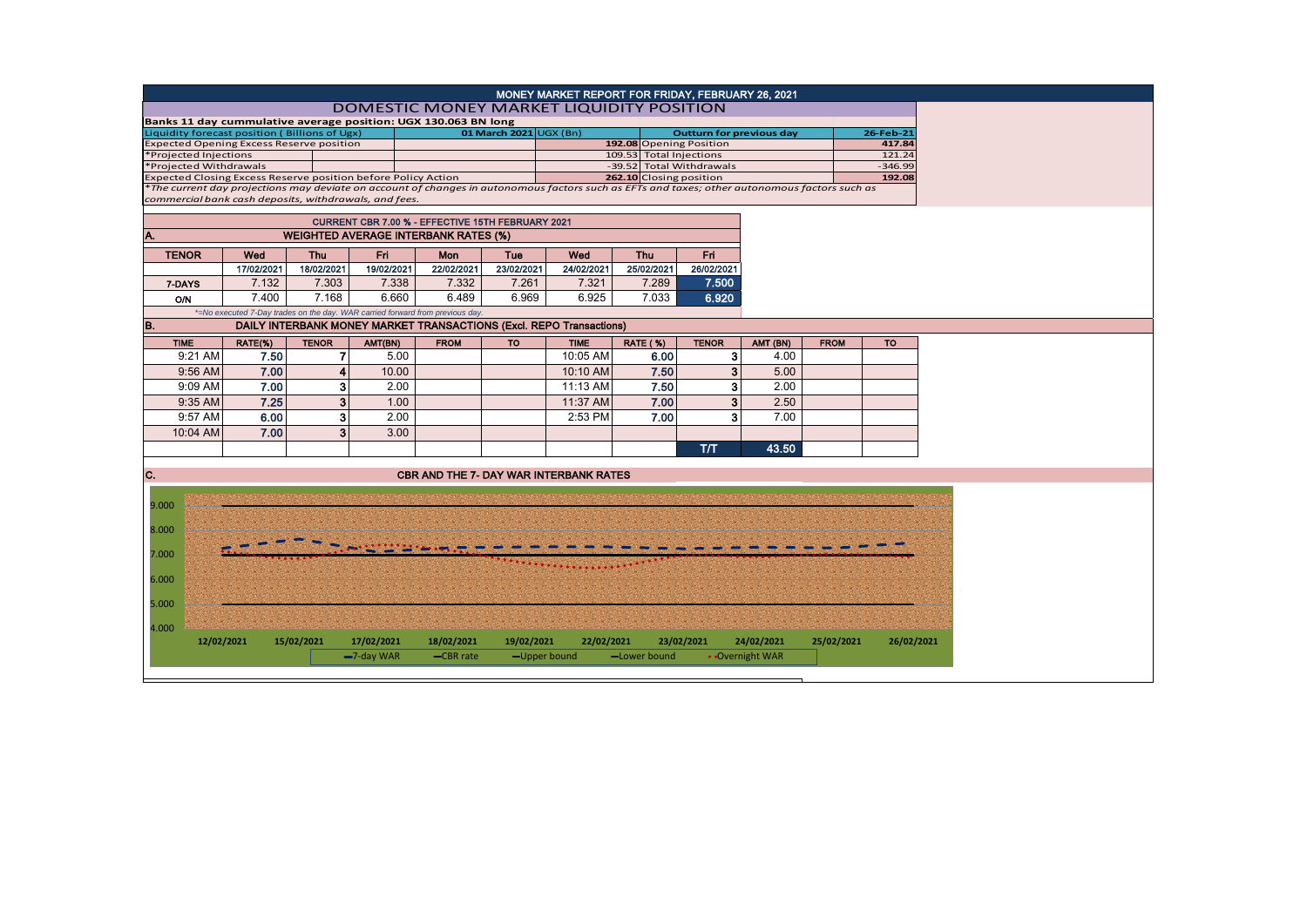|                                                               |            |                |                             |                                                                                                                                               |            | MONEY MARKET REPORT FOR FRIDAY, FEBRUARY 26, 2021 |                         |                                                    |                 |             |                     |  |  |
|---------------------------------------------------------------|------------|----------------|-----------------------------|-----------------------------------------------------------------------------------------------------------------------------------------------|------------|---------------------------------------------------|-------------------------|----------------------------------------------------|-----------------|-------------|---------------------|--|--|
| DOMESTIC MONEY MARKET LIQUIDITY POSITION                      |            |                |                             |                                                                                                                                               |            |                                                   |                         |                                                    |                 |             |                     |  |  |
|                                                               |            |                |                             | Banks 11 day cummulative average position: UGX 130.063 BN long                                                                                |            |                                                   |                         |                                                    |                 |             |                     |  |  |
| Liquidity forecast position (Billions of Ugx)                 |            |                |                             | 01 March 2021 UGX (Bn)                                                                                                                        |            |                                                   |                         | <b>Outturn for previous day</b>                    |                 |             | 26-Feb-21           |  |  |
| <b>Expected Opening Excess Reserve position</b>               |            |                |                             |                                                                                                                                               |            |                                                   |                         | 192.08 Opening Position<br>109.53 Total Injections |                 |             | 417.84              |  |  |
| *Projected Injections<br>*Projected Withdrawals               |            |                |                             |                                                                                                                                               |            |                                                   |                         | -39.52 Total Withdrawals                           |                 |             | 121.24<br>$-346.99$ |  |  |
| Expected Closing Excess Reserve position before Policy Action |            |                |                             |                                                                                                                                               |            |                                                   | 262.10 Closing position |                                                    |                 |             | 192.08              |  |  |
| commercial bank cash deposits, withdrawals, and fees.         |            |                |                             | *The current day projections may deviate on account of changes in autonomous factors such as EFTs and taxes; other autonomous factors such as |            |                                                   |                         |                                                    |                 |             |                     |  |  |
| CURRENT CBR 7.00 % - EFFECTIVE 15TH FEBRUARY 2021             |            |                |                             |                                                                                                                                               |            |                                                   |                         |                                                    |                 |             |                     |  |  |
| A.<br><b>WEIGHTED AVERAGE INTERBANK RATES (%)</b>             |            |                |                             |                                                                                                                                               |            |                                                   |                         |                                                    |                 |             |                     |  |  |
| <b>TENOR</b>                                                  | Wed        | Thu            | Fri                         | Mon                                                                                                                                           | Tue        | Wed                                               | <b>Thu</b>              | Fri.                                               |                 |             |                     |  |  |
|                                                               | 17/02/2021 | 18/02/2021     | 19/02/2021                  | 22/02/2021                                                                                                                                    | 23/02/2021 | 24/02/2021                                        | 25/02/2021              | 26/02/2021                                         |                 |             |                     |  |  |
| 7-DAYS                                                        | 7.132      | 7.303          | 7.338                       | 7.332                                                                                                                                         | 7.261      | 7.321                                             | 7.289                   | 7.500                                              |                 |             |                     |  |  |
| <b>O/N</b>                                                    | 7.400      | 7.168          | 6.660                       | 6.489                                                                                                                                         | 6.969      | 6.925                                             | 7.033                   | 6.920                                              |                 |             |                     |  |  |
|                                                               |            |                |                             | *=No executed 7-Day trades on the day. WAR carried forward from previous day.                                                                 |            |                                                   |                         |                                                    |                 |             |                     |  |  |
| B.                                                            |            |                |                             | DAILY INTERBANK MONEY MARKET TRANSACTIONS (Excl. REPO Transactions)                                                                           |            |                                                   |                         |                                                    |                 |             |                     |  |  |
| <b>TIME</b>                                                   | RATE(%)    | <b>TENOR</b>   | AMT(BN)                     | <b>FROM</b>                                                                                                                                   | <b>TO</b>  | <b>TIME</b>                                       | <b>RATE (%)</b>         | <b>TENOR</b>                                       | AMT (BN)        | <b>FROM</b> | <b>TO</b>           |  |  |
| 9:21 AM                                                       | 7.50       | $\overline{7}$ | 5.00                        |                                                                                                                                               |            | 10:05 AM                                          | 6.00                    | 3                                                  | 4.00            |             |                     |  |  |
| 9:56 AM                                                       | 7.00       | $\overline{4}$ | 10.00                       |                                                                                                                                               |            | 10:10 AM                                          | 7.50                    | 3                                                  | 5.00            |             |                     |  |  |
| 9:09 AM                                                       | 7.00       | 3              | 2.00                        |                                                                                                                                               |            | 11:13 AM                                          | 7.50                    | 3                                                  | 2.00            |             |                     |  |  |
| 9:35 AM                                                       | 7.25       | 3 <sup>1</sup> | 1.00                        |                                                                                                                                               |            | 11:37 AM                                          | 7.00                    | 3                                                  | 2.50            |             |                     |  |  |
| 9:57 AM                                                       | 6.00       | 3              | 2.00                        |                                                                                                                                               |            | 2:53 PM                                           | 7.00                    | 3                                                  | 7.00            |             |                     |  |  |
| 10:04 AM                                                      | 7.00       | 3              | 3.00                        |                                                                                                                                               |            |                                                   |                         |                                                    |                 |             |                     |  |  |
|                                                               |            |                |                             |                                                                                                                                               |            |                                                   |                         |                                                    |                 |             |                     |  |  |
|                                                               |            |                |                             |                                                                                                                                               |            |                                                   |                         | T/T                                                | 43.50           |             |                     |  |  |
| C.                                                            |            |                |                             | <b>CBR AND THE 7- DAY WAR INTERBANK RATES</b>                                                                                                 |            |                                                   |                         |                                                    |                 |             |                     |  |  |
|                                                               |            |                |                             |                                                                                                                                               |            |                                                   |                         |                                                    |                 |             |                     |  |  |
| 9.000                                                         |            |                |                             |                                                                                                                                               |            |                                                   |                         |                                                    |                 |             |                     |  |  |
|                                                               |            |                |                             |                                                                                                                                               |            |                                                   |                         |                                                    |                 |             |                     |  |  |
| 8.000                                                         |            |                |                             |                                                                                                                                               |            |                                                   |                         |                                                    |                 |             |                     |  |  |
| 7.000                                                         |            |                |                             |                                                                                                                                               |            |                                                   |                         |                                                    |                 |             |                     |  |  |
|                                                               |            |                |                             |                                                                                                                                               |            |                                                   |                         |                                                    |                 |             |                     |  |  |
| 6.000                                                         |            |                |                             |                                                                                                                                               |            |                                                   |                         |                                                    |                 |             |                     |  |  |
|                                                               |            |                |                             |                                                                                                                                               |            |                                                   |                         |                                                    |                 |             |                     |  |  |
| 5.000                                                         |            |                |                             |                                                                                                                                               |            |                                                   |                         |                                                    |                 |             |                     |  |  |
| 4.000                                                         |            |                |                             |                                                                                                                                               |            |                                                   |                         |                                                    |                 |             |                     |  |  |
| 12/02/2021                                                    |            | 15/02/2021     | 17/02/2021<br>$-7$ -day WAR | 18/02/2021                                                                                                                                    | 19/02/2021 | 22/02/2021                                        |                         | 23/02/2021                                         | 24/02/2021      | 25/02/2021  | 26/02/2021          |  |  |
|                                                               |            |                |                             | -CBR rate                                                                                                                                     |            | -Upper bound                                      | -Lower bound            |                                                    | • Overnight WAR |             |                     |  |  |
|                                                               |            |                |                             |                                                                                                                                               |            |                                                   |                         |                                                    |                 |             |                     |  |  |